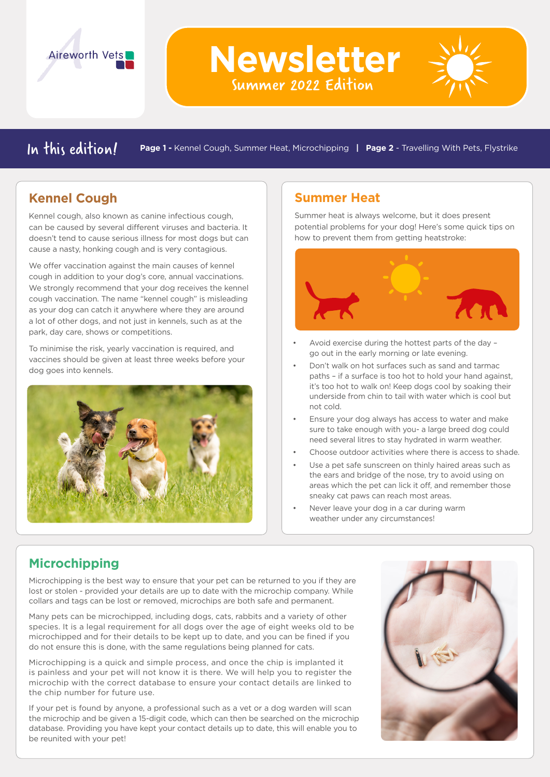

In this edition **/ Page 1 -** Kennel Cough, Summer Heat, Microchipping | Page 2 - Travelling With Pets, Flystrike

**Newsletter**

Summer 2022 Edition

## **Kennel Cough**

Kennel cough, also known as canine infectious cough, can be caused by several different viruses and bacteria. It doesn't tend to cause serious illness for most dogs but can cause a nasty, honking cough and is very contagious.

We offer vaccination against the main causes of kennel cough in addition to your dog's core, annual vaccinations. We strongly recommend that your dog receives the kennel cough vaccination. The name "kennel cough" is misleading as your dog can catch it anywhere where they are around a lot of other dogs, and not just in kennels, such as at the park, day care, shows or competitions.

To minimise the risk, yearly vaccination is required, and vaccines should be given at least three weeks before your dog goes into kennels.



### **Summer Heat**

Summer heat is always welcome, but it does present potential problems for your dog! Here's some quick tips on how to prevent them from getting heatstroke:



- Avoid exercise during the hottest parts of the day go out in the early morning or late evening.
- Don't walk on hot surfaces such as sand and tarmac paths – if a surface is too hot to hold your hand against, it's too hot to walk on! Keep dogs cool by soaking their underside from chin to tail with water which is cool but not cold.
- Ensure your dog always has access to water and make sure to take enough with you- a large breed dog could need several litres to stay hydrated in warm weather.
- Choose outdoor activities where there is access to shade.
- Use a pet safe sunscreen on thinly haired areas such as the ears and bridge of the nose, try to avoid using on areas which the pet can lick it off, and remember those sneaky cat paws can reach most areas.
- Never leave your dog in a car during warm weather under any circumstances!

# **Microchipping**

Microchipping is the best way to ensure that your pet can be returned to you if they are lost or stolen - provided your details are up to date with the microchip company. While collars and tags can be lost or removed, microchips are both safe and permanent.

Many pets can be microchipped, including dogs, cats, rabbits and a variety of other species. It is a legal requirement for all dogs over the age of eight weeks old to be microchipped and for their details to be kept up to date, and you can be fined if you do not ensure this is done, with the same regulations being planned for cats.

Microchipping is a quick and simple process, and once the chip is implanted it is painless and your pet will not know it is there. We will help you to register the microchip with the correct database to ensure your contact details are linked to the chip number for future use.

If your pet is found by anyone, a professional such as a vet or a dog warden will scan the microchip and be given a 15-digit code, which can then be searched on the microchip database. Providing you have kept your contact details up to date, this will enable you to be reunited with your pet!